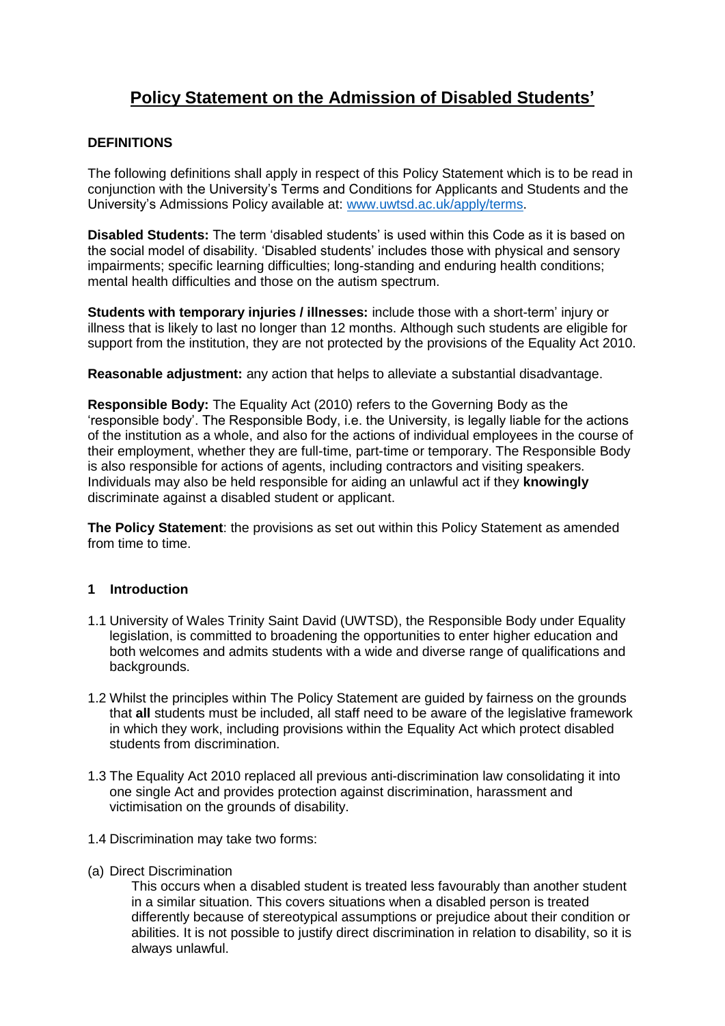# **Policy Statement on the Admission of Disabled Students'**

## **DEFINITIONS**

The following definitions shall apply in respect of this Policy Statement which is to be read in conjunction with the University's Terms and Conditions for Applicants and Students and the University's Admissions Policy available at: [www.uwtsd.ac.uk/apply/terms.](http://www.uwtsd.ac.uk/apply/terms)

**Disabled Students:** The term 'disabled students' is used within this Code as it is based on the social model of disability. 'Disabled students' includes those with physical and sensory impairments; specific learning difficulties; long-standing and enduring health conditions; mental health difficulties and those on the autism spectrum.

**Students with temporary injuries / illnesses:** include those with a short-term' injury or illness that is likely to last no longer than 12 months. Although such students are eligible for support from the institution, they are not protected by the provisions of the Equality Act 2010.

**Reasonable adjustment:** any action that helps to alleviate a substantial disadvantage.

**Responsible Body:** The Equality Act (2010) refers to the Governing Body as the 'responsible body'. The Responsible Body, i.e. the University, is legally liable for the actions of the institution as a whole, and also for the actions of individual employees in the course of their employment, whether they are full-time, part-time or temporary. The Responsible Body is also responsible for actions of agents, including contractors and visiting speakers. Individuals may also be held responsible for aiding an unlawful act if they **knowingly**  discriminate against a disabled student or applicant.

**The Policy Statement**: the provisions as set out within this Policy Statement as amended from time to time.

### **1 Introduction**

- 1.1 University of Wales Trinity Saint David (UWTSD), the Responsible Body under Equality legislation, is committed to broadening the opportunities to enter higher education and both welcomes and admits students with a wide and diverse range of qualifications and backgrounds.
- 1.2 Whilst the principles within The Policy Statement are guided by fairness on the grounds that **all** students must be included, all staff need to be aware of the legislative framework in which they work, including provisions within the Equality Act which protect disabled students from discrimination.
- 1.3 The Equality Act 2010 replaced all previous anti-discrimination law consolidating it into one single Act and provides protection against discrimination, harassment and victimisation on the grounds of disability.
- 1.4 Discrimination may take two forms:
- (a) Direct Discrimination

This occurs when a disabled student is treated less favourably than another student in a similar situation. This covers situations when a disabled person is treated differently because of stereotypical assumptions or prejudice about their condition or abilities. It is not possible to justify direct discrimination in relation to disability, so it is always unlawful.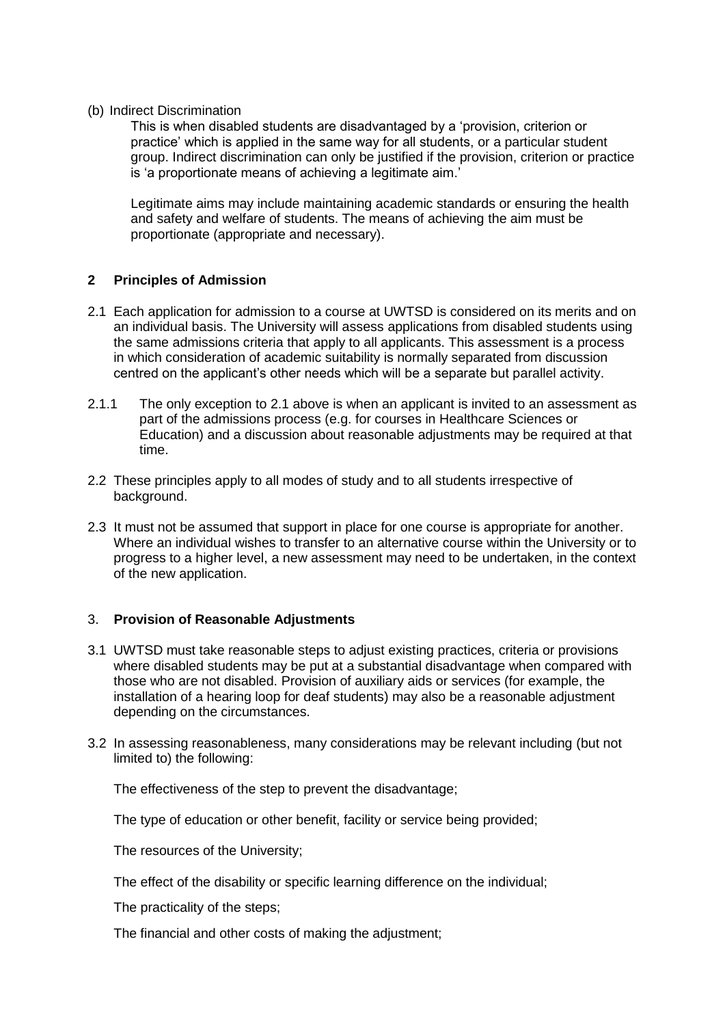#### (b) Indirect Discrimination

This is when disabled students are disadvantaged by a 'provision, criterion or practice' which is applied in the same way for all students, or a particular student group. Indirect discrimination can only be justified if the provision, criterion or practice is 'a proportionate means of achieving a legitimate aim.'

Legitimate aims may include maintaining academic standards or ensuring the health and safety and welfare of students. The means of achieving the aim must be proportionate (appropriate and necessary).

### **2 Principles of Admission**

- 2.1 Each application for admission to a course at UWTSD is considered on its merits and on an individual basis. The University will assess applications from disabled students using the same admissions criteria that apply to all applicants. This assessment is a process in which consideration of academic suitability is normally separated from discussion centred on the applicant's other needs which will be a separate but parallel activity.
- 2.1.1 The only exception to 2.1 above is when an applicant is invited to an assessment as part of the admissions process (e.g. for courses in Healthcare Sciences or Education) and a discussion about reasonable adjustments may be required at that time.
- 2.2 These principles apply to all modes of study and to all students irrespective of background.
- 2.3 It must not be assumed that support in place for one course is appropriate for another. Where an individual wishes to transfer to an alternative course within the University or to progress to a higher level, a new assessment may need to be undertaken, in the context of the new application.

### 3. **Provision of Reasonable Adjustments**

- 3.1 UWTSD must take reasonable steps to adjust existing practices, criteria or provisions where disabled students may be put at a substantial disadvantage when compared with those who are not disabled. Provision of auxiliary aids or services (for example, the installation of a hearing loop for deaf students) may also be a reasonable adjustment depending on the circumstances.
- 3.2 In assessing reasonableness, many considerations may be relevant including (but not limited to) the following:

The effectiveness of the step to prevent the disadvantage;

The type of education or other benefit, facility or service being provided;

The resources of the University;

The effect of the disability or specific learning difference on the individual;

The practicality of the steps;

The financial and other costs of making the adjustment;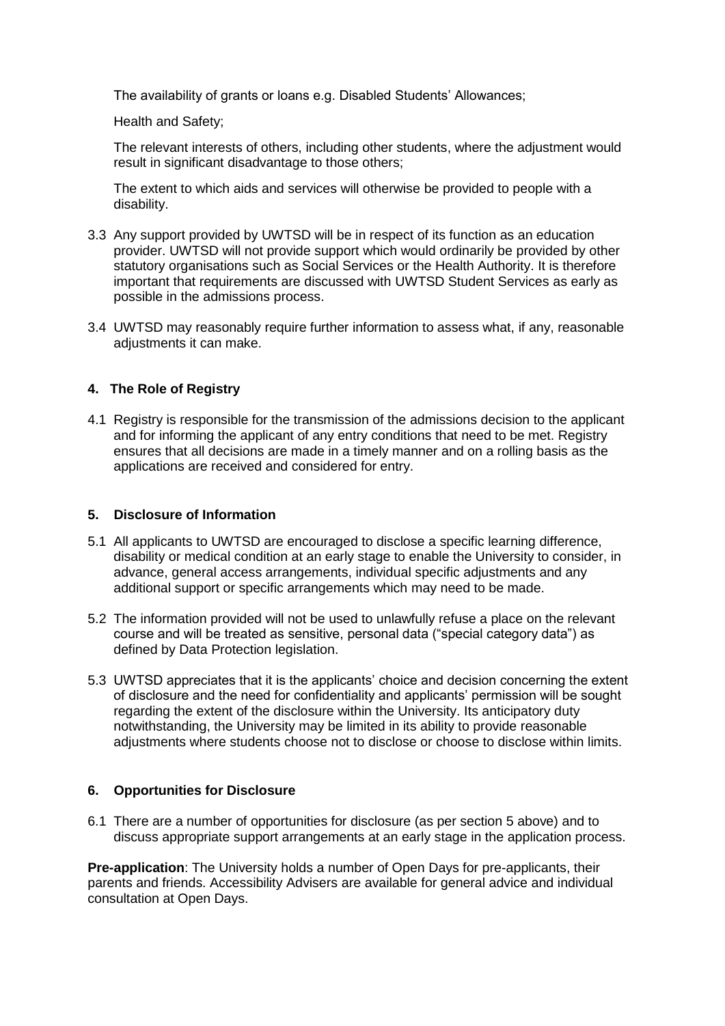The availability of grants or loans e.g. Disabled Students' Allowances;

Health and Safety;

The relevant interests of others, including other students, where the adjustment would result in significant disadvantage to those others:

The extent to which aids and services will otherwise be provided to people with a disability.

- 3.3 Any support provided by UWTSD will be in respect of its function as an education provider. UWTSD will not provide support which would ordinarily be provided by other statutory organisations such as Social Services or the Health Authority. It is therefore important that requirements are discussed with UWTSD Student Services as early as possible in the admissions process.
- 3.4 UWTSD may reasonably require further information to assess what, if any, reasonable adjustments it can make.

### **4. The Role of Registry**

4.1 Registry is responsible for the transmission of the admissions decision to the applicant and for informing the applicant of any entry conditions that need to be met. Registry ensures that all decisions are made in a timely manner and on a rolling basis as the applications are received and considered for entry.

### **5. Disclosure of Information**

- 5.1 All applicants to UWTSD are encouraged to disclose a specific learning difference, disability or medical condition at an early stage to enable the University to consider, in advance, general access arrangements, individual specific adjustments and any additional support or specific arrangements which may need to be made.
- 5.2 The information provided will not be used to unlawfully refuse a place on the relevant course and will be treated as sensitive, personal data ("special category data") as defined by Data Protection legislation.
- 5.3 UWTSD appreciates that it is the applicants' choice and decision concerning the extent of disclosure and the need for confidentiality and applicants' permission will be sought regarding the extent of the disclosure within the University. Its anticipatory duty notwithstanding, the University may be limited in its ability to provide reasonable adjustments where students choose not to disclose or choose to disclose within limits.

### **6. Opportunities for Disclosure**

6.1 There are a number of opportunities for disclosure (as per section 5 above) and to discuss appropriate support arrangements at an early stage in the application process.

**Pre-application**: The University holds a number of Open Days for pre-applicants, their parents and friends. Accessibility Advisers are available for general advice and individual consultation at Open Days.